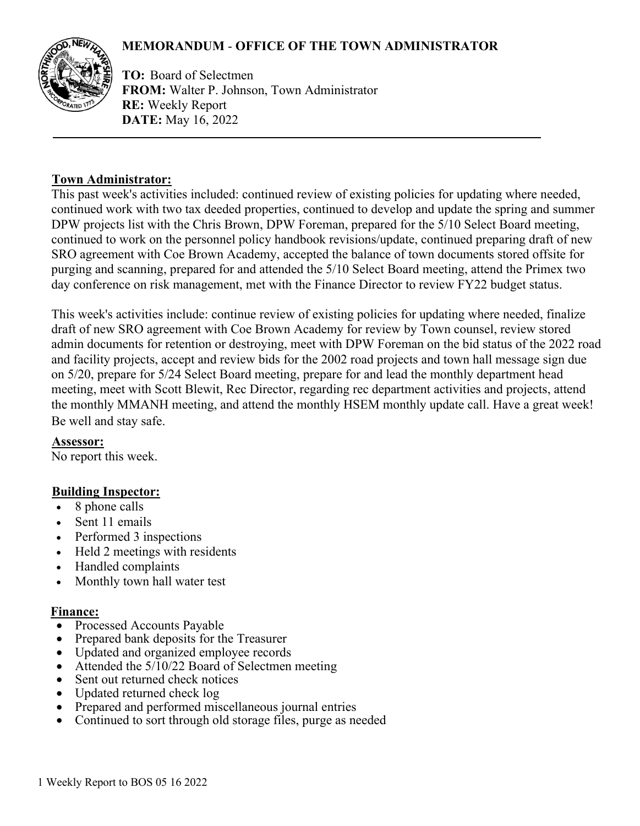# **MEMORANDUM** - **OFFICE OF THE TOWN ADMINISTRATOR**



**TO:** Board of Selectmen **FROM:** Walter P. Johnson, Town Administrator **RE:** Weekly Report **DATE:** May 16, 2022

## **Town Administrator:**

This past week's activities included: continued review of existing policies for updating where needed, continued work with two tax deeded properties, continued to develop and update the spring and summer DPW projects list with the Chris Brown, DPW Foreman, prepared for the 5/10 Select Board meeting, continued to work on the personnel policy handbook revisions/update, continued preparing draft of new SRO agreement with Coe Brown Academy, accepted the balance of town documents stored offsite for purging and scanning, prepared for and attended the 5/10 Select Board meeting, attend the Primex two day conference on risk management, met with the Finance Director to review FY22 budget status.

This week's activities include: continue review of existing policies for updating where needed, finalize draft of new SRO agreement with Coe Brown Academy for review by Town counsel, review stored admin documents for retention or destroying, meet with DPW Foreman on the bid status of the 2022 road and facility projects, accept and review bids for the 2002 road projects and town hall message sign due on 5/20, prepare for 5/24 Select Board meeting, prepare for and lead the monthly department head meeting, meet with Scott Blewit, Rec Director, regarding rec department activities and projects, attend the monthly MMANH meeting, and attend the monthly HSEM monthly update call. Have a great week! Be well and stay safe.

**Assessor:** No report this week.

## **Building Inspector:**

- 8 phone calls
- Sent 11 emails
- Performed 3 inspections
- Held 2 meetings with residents
- Handled complaints
- Monthly town hall water test

#### **Finance:**

- Processed Accounts Payable
- Prepared bank deposits for the Treasurer
- Updated and organized employee records
- Attended the 5/10/22 Board of Selectmen meeting
- Sent out returned check notices
- Updated returned check log
- Prepared and performed miscellaneous journal entries
- Continued to sort through old storage files, purge as needed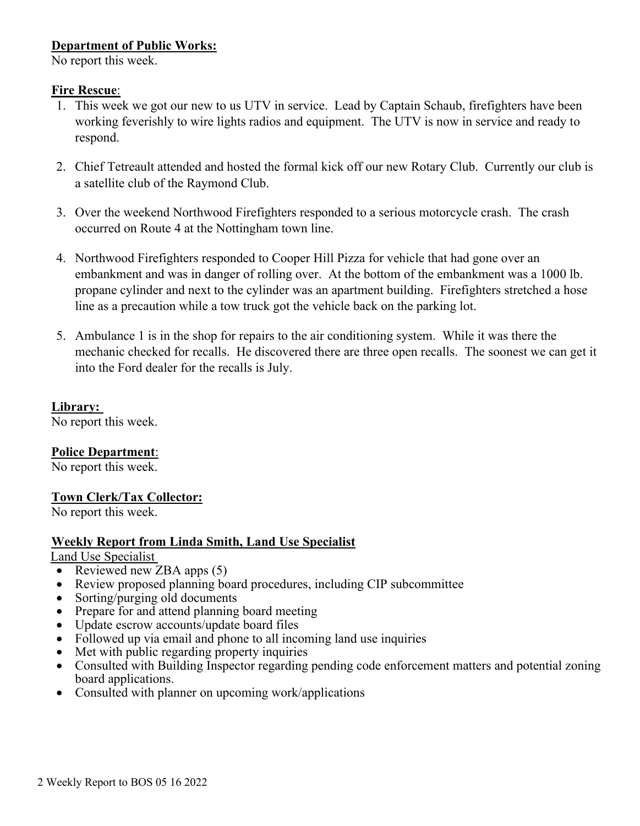## **Department of Public Works:**

No report this week.

### **Fire Rescue**:

- 1. This week we got our new to us UTV in service. Lead by Captain Schaub, firefighters have been working feverishly to wire lights radios and equipment. The UTV is now in service and ready to respond.
- 2. Chief Tetreault attended and hosted the formal kick off our new Rotary Club. Currently our club is a satellite club of the Raymond Club.
- 3. Over the weekend Northwood Firefighters responded to a serious motorcycle crash. The crash occurred on Route 4 at the Nottingham town line.
- 4. Northwood Firefighters responded to Cooper Hill Pizza for vehicle that had gone over an embankment and was in danger of rolling over. At the bottom of the embankment was a 1000 lb. propane cylinder and next to the cylinder was an apartment building. Firefighters stretched a hose line as a precaution while a tow truck got the vehicle back on the parking lot.
- 5. Ambulance 1 is in the shop for repairs to the air conditioning system. While it was there the mechanic checked for recalls. He discovered there are three open recalls. The soonest we can get it into the Ford dealer for the recalls is July.

#### **Library:**

No report this week.

## **Police Department**:

No report this week.

## **Town Clerk/Tax Collector:**

No report this week.

## **Weekly Report from Linda Smith, Land Use Specialist**

#### Land Use Specialist

- Reviewed new ZBA apps (5)
- Review proposed planning board procedures, including CIP subcommittee
- Sorting/purging old documents
- Prepare for and attend planning board meeting
- Update escrow accounts/update board files
- Followed up via email and phone to all incoming land use inquiries
- Met with public regarding property inquiries
- Consulted with Building Inspector regarding pending code enforcement matters and potential zoning board applications.
- Consulted with planner on upcoming work/applications